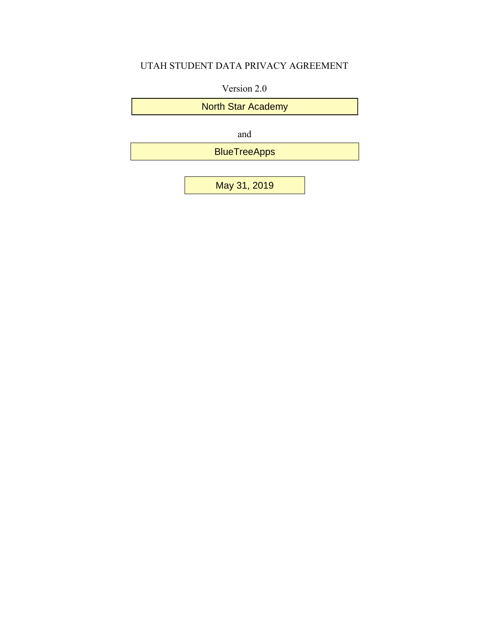## UTAH STUDENT DATA PRIVACY AGREEMENT

Version 2.0

North Star Academy

and

BlueTreeApps

May 31, 2019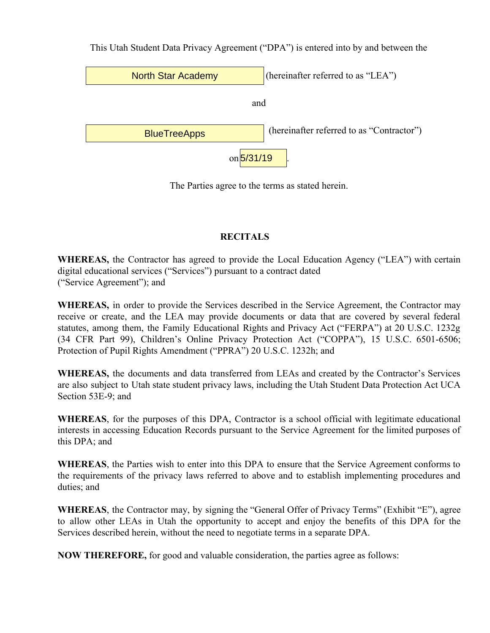This Utah Student Data Privacy Agreement ("DPA") is entered into by and between the



The Parties agree to the terms as stated herein.

## **RECITALS**

**WHEREAS,** the Contractor has agreed to provide the Local Education Agency ("LEA") with certain digital educational services ("Services") pursuant to a contract dated ("Service Agreement"); and

**WHEREAS,** in order to provide the Services described in the Service Agreement, the Contractor may receive or create, and the LEA may provide documents or data that are covered by several federal statutes, among them, the Family Educational Rights and Privacy Act ("FERPA") at 20 U.S.C. 1232g (34 CFR Part 99), Children's Online Privacy Protection Act ("COPPA"), 15 U.S.C. 6501-6506; Protection of Pupil Rights Amendment ("PPRA") 20 U.S.C. 1232h; and

**WHEREAS,** the documents and data transferred from LEAs and created by the Contractor's Services are also subject to Utah state student privacy laws, including the Utah Student Data Protection Act UCA Section 53E-9; and

**WHEREAS**, for the purposes of this DPA, Contractor is a school official with legitimate educational interests in accessing Education Records pursuant to the Service Agreement for the limited purposes of this DPA; and

**WHEREAS**, the Parties wish to enter into this DPA to ensure that the Service Agreement conforms to the requirements of the privacy laws referred to above and to establish implementing procedures and duties; and

**WHEREAS**, the Contractor may, by signing the "General Offer of Privacy Terms" (Exhibit "E"), agree to allow other LEAs in Utah the opportunity to accept and enjoy the benefits of this DPA for the Services described herein, without the need to negotiate terms in a separate DPA.

**NOW THEREFORE,** for good and valuable consideration, the parties agree as follows: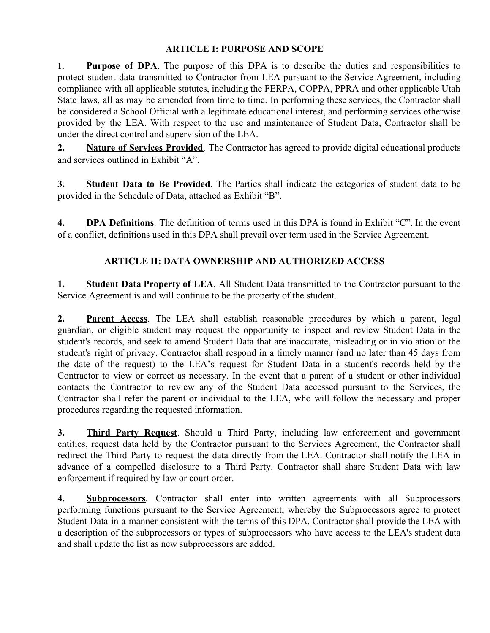### **ARTICLE I: PURPOSE AND SCOPE**

1. **Purpose of DPA**. The purpose of this DPA is to describe the duties and responsibilities to protect student data transmitted to Contractor from LEA pursuant to the Service Agreement, including compliance with all applicable statutes, including the FERPA, COPPA, PPRA and other applicable Utah State laws, all as may be amended from time to time. In performing these services, the Contractor shall be considered a School Official with a legitimate educational interest, and performing services otherwise provided by the LEA. With respect to the use and maintenance of Student Data, Contractor shall be under the direct control and supervision of the LEA.

**2. Nature of Services Provided**. The Contractor has agreed to provide digital educational products and services outlined in Exhibit "A".

**3. Student Data to Be Provided**. The Parties shall indicate the categories of student data to be provided in the Schedule of Data, attached as Exhibit "B".

**4. DPA Definitions**. The definition of terms used in this DPA is found in Exhibit "C". In the event of a conflict, definitions used in this DPA shall prevail over term used in the Service Agreement.

## **ARTICLE II: DATA OWNERSHIP AND AUTHORIZED ACCESS**

**1. Student Data Property of LEA**. All Student Data transmitted to the Contractor pursuant to the Service Agreement is and will continue to be the property of the student.

**2. Parent Access**. The LEA shall establish reasonable procedures by which a parent, legal guardian, or eligible student may request the opportunity to inspect and review Student Data in the student's records, and seek to amend Student Data that are inaccurate, misleading or in violation of the student's right of privacy. Contractor shall respond in a timely manner (and no later than 45 days from the date of the request) to the LEA's request for Student Data in a student's records held by the Contractor to view or correct as necessary. In the event that a parent of a student or other individual contacts the Contractor to review any of the Student Data accessed pursuant to the Services, the Contractor shall refer the parent or individual to the LEA, who will follow the necessary and proper procedures regarding the requested information.

**3. Third Party Request**. Should a Third Party, including law enforcement and government entities, request data held by the Contractor pursuant to the Services Agreement, the Contractor shall redirect the Third Party to request the data directly from the LEA. Contractor shall notify the LEA in advance of a compelled disclosure to a Third Party. Contractor shall share Student Data with law enforcement if required by law or court order.

**4. Subprocessors**. Contractor shall enter into written agreements with all Subprocessors performing functions pursuant to the Service Agreement, whereby the Subprocessors agree to protect Student Data in a manner consistent with the terms of this DPA. Contractor shall provide the LEA with a description of the subprocessors or types of subprocessors who have access to the LEA's student data and shall update the list as new subprocessors are added.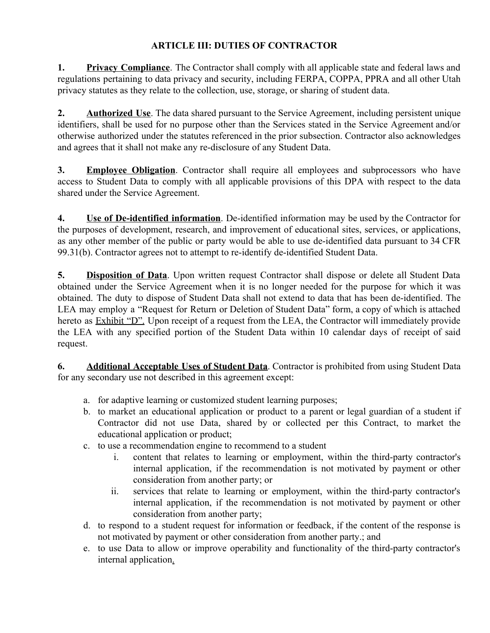## **ARTICLE III: DUTIES OF CONTRACTOR**

**1. Privacy Compliance**. The Contractor shall comply with all applicable state and federal laws and regulations pertaining to data privacy and security, including FERPA, COPPA, PPRA and all other Utah privacy statutes as they relate to the collection, use, storage, or sharing of student data.

**2. Authorized Use**. The data shared pursuant to the Service Agreement, including persistent unique identifiers, shall be used for no purpose other than the Services stated in the Service Agreement and/or otherwise authorized under the statutes referenced in the prior subsection. Contractor also acknowledges and agrees that it shall not make any re-disclosure of any Student Data.

**3. Employee Obligation**. Contractor shall require all employees and subprocessors who have access to Student Data to comply with all applicable provisions of this DPA with respect to the data shared under the Service Agreement.

**4. Use of De-identified information**. De-identified information may be used by the Contractor for the purposes of development, research, and improvement of educational sites, services, or applications, as any other member of the public or party would be able to use de-identified data pursuant to 34 CFR 99.31(b). Contractor agrees not to attempt to re-identify de-identified Student Data.

**5. Disposition of Data**. Upon written request Contractor shall dispose or delete all Student Data obtained under the Service Agreement when it is no longer needed for the purpose for which it was obtained. The duty to dispose of Student Data shall not extend to data that has been de-identified. The LEA may employ a "Request for Return or Deletion of Student Data" form, a copy of which is attached hereto as **Exhibit "D"**. Upon receipt of a request from the LEA, the Contractor will immediately provide the LEA with any specified portion of the Student Data within 10 calendar days of receipt of said request.

**6. Additional Acceptable Uses of Student Data**. Contractor is prohibited from using Student Data for any secondary use not described in this agreement except:

- a. for adaptive learning or customized student learning purposes;
- b. to market an educational application or product to a parent or legal guardian of a student if Contractor did not use Data, shared by or collected per this Contract, to market the educational application or product;
- c. to use a recommendation engine to recommend to a student
	- i. content that relates to learning or employment, within the third-party contractor's internal application, if the recommendation is not motivated by payment or other consideration from another party; or
	- ii. services that relate to learning or employment, within the third-party contractor's internal application, if the recommendation is not motivated by payment or other consideration from another party;
- d. to respond to a student request for information or feedback, if the content of the response is not motivated by payment or other consideration from another party.; and
- e. to use Data to allow or improve operability and functionality of the third-party contractor's internal application.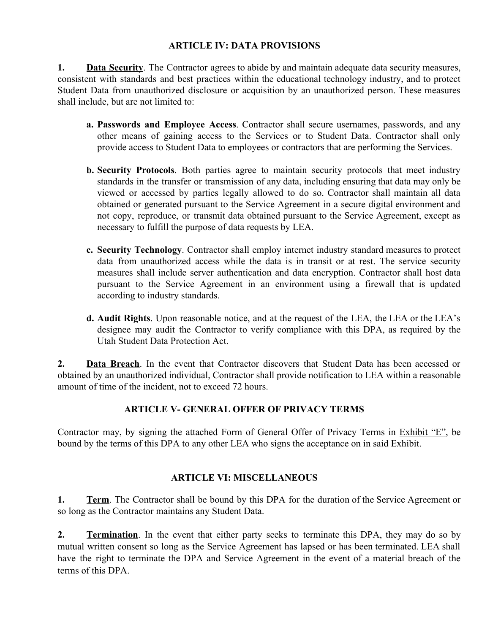### **ARTICLE IV: DATA PROVISIONS**

**1. Data Security**. The Contractor agrees to abide by and maintain adequate data security measures, consistent with standards and best practices within the educational technology industry, and to protect Student Data from unauthorized disclosure or acquisition by an unauthorized person. These measures shall include, but are not limited to:

- **a. Passwords and Employee Access**. Contractor shall secure usernames, passwords, and any other means of gaining access to the Services or to Student Data. Contractor shall only provide access to Student Data to employees or contractors that are performing the Services.
- **b. Security Protocols**. Both parties agree to maintain security protocols that meet industry standards in the transfer or transmission of any data, including ensuring that data may only be viewed or accessed by parties legally allowed to do so. Contractor shall maintain all data obtained or generated pursuant to the Service Agreement in a secure digital environment and not copy, reproduce, or transmit data obtained pursuant to the Service Agreement, except as necessary to fulfill the purpose of data requests by LEA.
- **c. Security Technology**. Contractor shall employ internet industry standard measures to protect data from unauthorized access while the data is in transit or at rest. The service security measures shall include server authentication and data encryption. Contractor shall host data pursuant to the Service Agreement in an environment using a firewall that is updated according to industry standards.
- **d. Audit Rights**. Upon reasonable notice, and at the request of the LEA, the LEA or the LEA's designee may audit the Contractor to verify compliance with this DPA, as required by the Utah Student Data Protection Act.

**2. Data Breach**. In the event that Contractor discovers that Student Data has been accessed or obtained by an unauthorized individual, Contractor shall provide notification to LEA within a reasonable amount of time of the incident, not to exceed 72 hours.

## **ARTICLE V- GENERAL OFFER OF PRIVACY TERMS**

Contractor may, by signing the attached Form of General Offer of Privacy Terms in Exhibit "E", be bound by the terms of this DPA to any other LEA who signs the acceptance on in said Exhibit.

### **ARTICLE VI: MISCELLANEOUS**

**1. Term**. The Contractor shall be bound by this DPA for the duration of the Service Agreement or so long as the Contractor maintains any Student Data.

**2. Termination**. In the event that either party seeks to terminate this DPA, they may do so by mutual written consent so long as the Service Agreement has lapsed or has been terminated. LEA shall have the right to terminate the DPA and Service Agreement in the event of a material breach of the terms of this DPA.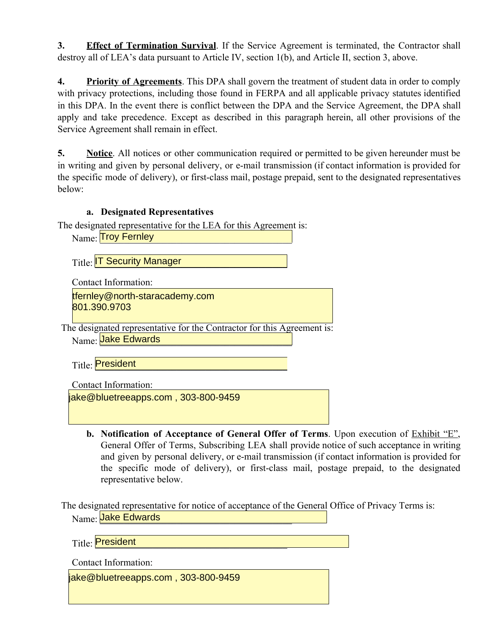**3. Effect of Termination Survival**. If the Service Agreement is terminated, the Contractor shall destroy all of LEA's data pursuant to Article IV, section 1(b), and Article II, section 3, above.

**4. Priority of Agreements**. This DPA shall govern the treatment of student data in order to comply with privacy protections, including those found in FERPA and all applicable privacy statutes identified in this DPA. In the event there is conflict between the DPA and the Service Agreement, the DPA shall apply and take precedence. Except as described in this paragraph herein, all other provisions of the Service Agreement shall remain in effect.

**5. Notice**. All notices or other communication required or permitted to be given hereunder must be in writing and given by personal delivery, or e-mail transmission (if contact information is provided for the specific mode of delivery), or first-class mail, postage prepaid, sent to the designated representatives below:

### **a. Designated Representatives**

The designated representative for the LEA for this Agreement is:

| Name: Troy Fernley                                                      |
|-------------------------------------------------------------------------|
| Title: <b>IT Security Manager</b>                                       |
| <b>Contact Information:</b>                                             |
| tfernley@north-staracademy.com<br>801.390.9703                          |
| The designated representative for the Contractor for this Agreement is: |
| Name: Jake Edwards                                                      |
| Title: President                                                        |
| Contact Information:                                                    |
| jake@bluetreeapps.com, 303-800-9459                                     |

**b. Notification of Acceptance of General Offer of Terms**. Upon execution of Exhibit "E", General Offer of Terms, Subscribing LEA shall provide notice of such acceptance in writing and given by personal delivery, or e-mail transmission (if contact information is provided for the specific mode of delivery), or first-class mail, postage prepaid, to the designated representative below.

The designated representative for notice of acceptance of the General Office of Privacy Terms is: Name: <mark>Jake Edwards \_\_\_\_\_\_\_\_\_\_\_\_\_\_\_\_\_\_\_\_\_\_\_\_\_\_</mark>

Title: \_\_\_\_\_\_\_\_\_\_\_\_\_\_\_\_\_\_\_\_\_\_\_\_\_\_\_\_\_\_\_\_\_\_\_\_\_\_\_\_ President

Contact Information:

jake@bluetreeapps.com , 303-800-9459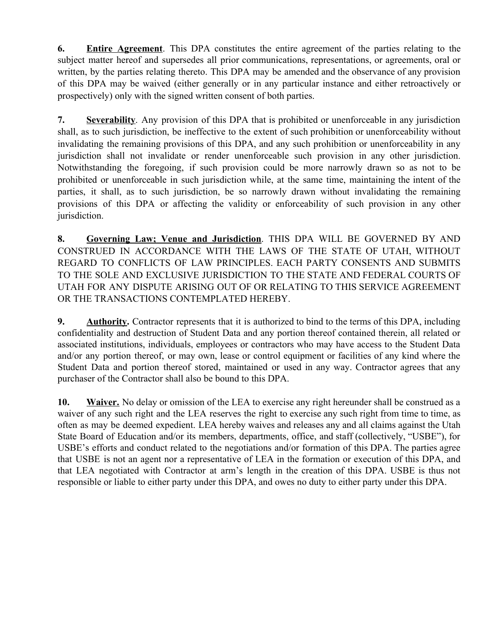**6. Entire Agreement**. This DPA constitutes the entire agreement of the parties relating to the subject matter hereof and supersedes all prior communications, representations, or agreements, oral or written, by the parties relating thereto. This DPA may be amended and the observance of any provision of this DPA may be waived (either generally or in any particular instance and either retroactively or prospectively) only with the signed written consent of both parties.

**7. Severability**. Any provision of this DPA that is prohibited or unenforceable in any jurisdiction shall, as to such jurisdiction, be ineffective to the extent of such prohibition or unenforceability without invalidating the remaining provisions of this DPA, and any such prohibition or unenforceability in any jurisdiction shall not invalidate or render unenforceable such provision in any other jurisdiction. Notwithstanding the foregoing, if such provision could be more narrowly drawn so as not to be prohibited or unenforceable in such jurisdiction while, at the same time, maintaining the intent of the parties, it shall, as to such jurisdiction, be so narrowly drawn without invalidating the remaining provisions of this DPA or affecting the validity or enforceability of such provision in any other jurisdiction.

**8. Governing Law; Venue and Jurisdiction**. THIS DPA WILL BE GOVERNED BY AND CONSTRUED IN ACCORDANCE WITH THE LAWS OF THE STATE OF UTAH, WITHOUT REGARD TO CONFLICTS OF LAW PRINCIPLES. EACH PARTY CONSENTS AND SUBMITS TO THE SOLE AND EXCLUSIVE JURISDICTION TO THE STATE AND FEDERAL COURTS OF UTAH FOR ANY DISPUTE ARISING OUT OF OR RELATING TO THIS SERVICE AGREEMENT OR THE TRANSACTIONS CONTEMPLATED HEREBY.

**9. Authority.** Contractor represents that it is authorized to bind to the terms of this DPA, including confidentiality and destruction of Student Data and any portion thereof contained therein, all related or associated institutions, individuals, employees or contractors who may have access to the Student Data and/or any portion thereof, or may own, lease or control equipment or facilities of any kind where the Student Data and portion thereof stored, maintained or used in any way. Contractor agrees that any purchaser of the Contractor shall also be bound to this DPA.

**10. Waiver.** No delay or omission of the LEA to exercise any right hereunder shall be construed as a waiver of any such right and the LEA reserves the right to exercise any such right from time to time, as often as may be deemed expedient. LEA hereby waives and releases any and all claims against the Utah State Board of Education and/or its members, departments, office, and staff (collectively, "USBE"), for USBE's efforts and conduct related to the negotiations and/or formation of this DPA. The parties agree that USBE is not an agent nor a representative of LEA in the formation or execution of this DPA, and that LEA negotiated with Contractor at arm's length in the creation of this DPA. USBE is thus not responsible or liable to either party under this DPA, and owes no duty to either party under this DPA.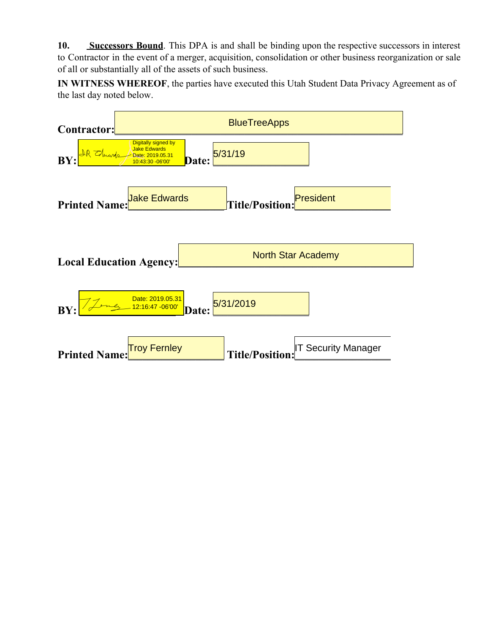**10. Successors Bound**. This DPA is and shall be binding upon the respective successors in interest to Contractor in the event of a merger, acquisition, consolidation or other business reorganization or sale of all or substantially all of the assets of such business.

**IN WITNESS WHEREOF**, the parties have executed this Utah Student Data Privacy Agreement as of the last day noted below.

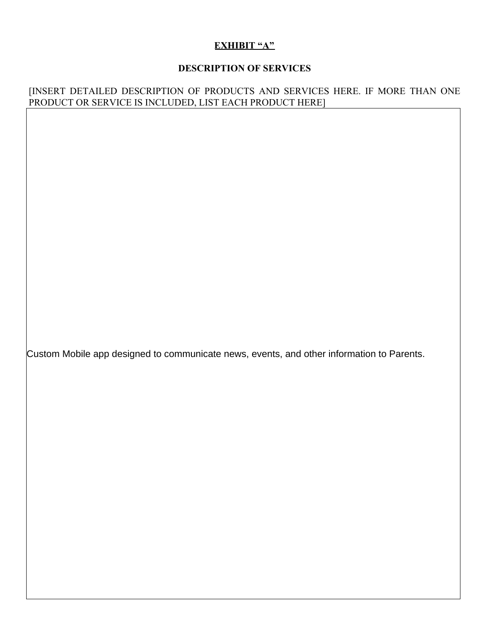## **EXHIBIT "A"**

## **DESCRIPTION OF SERVICES**

### [INSERT DETAILED DESCRIPTION OF PRODUCTS AND SERVICES HERE. IF MORE THAN ONE PRODUCT OR SERVICE IS INCLUDED, LIST EACH PRODUCT HERE]

Custom Mobile app designed to communicate news, events, and other information to Parents.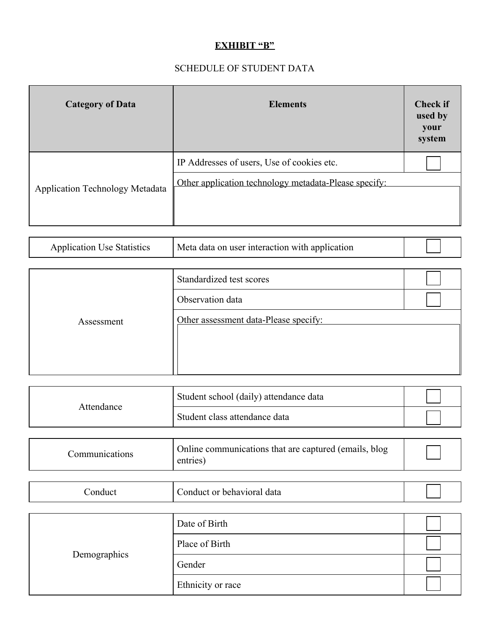# **EXHIBIT "B"**

# SCHEDULE OF STUDENT DATA

| <b>Category of Data</b>         | <b>Elements</b>                                                                                     | <b>Check if</b><br>used by<br>your<br>system |
|---------------------------------|-----------------------------------------------------------------------------------------------------|----------------------------------------------|
| Application Technology Metadata | IP Addresses of users, Use of cookies etc.<br>Other application technology metadata-Please specify: |                                              |

| <b>Application Use Statistics</b> | Meta data on user interaction with application |  |  |
|-----------------------------------|------------------------------------------------|--|--|
|-----------------------------------|------------------------------------------------|--|--|

|            | Standardized test scores              |  |
|------------|---------------------------------------|--|
|            | Observation data                      |  |
| Assessment | Other assessment data-Please specify: |  |

| Attendance | Student school (daily) attendance data |  |
|------------|----------------------------------------|--|
|            | Student class attendance data          |  |
|            |                                        |  |

| Communications | Online communications that are captured (emails, blog)<br>entries) |  |
|----------------|--------------------------------------------------------------------|--|
|----------------|--------------------------------------------------------------------|--|

| Conduct      | Conduct or behavioral data |  |
|--------------|----------------------------|--|
|              |                            |  |
|              | Date of Birth              |  |
|              | Place of Birth             |  |
| Demographics | Gender                     |  |
|              | Ethnicity or race          |  |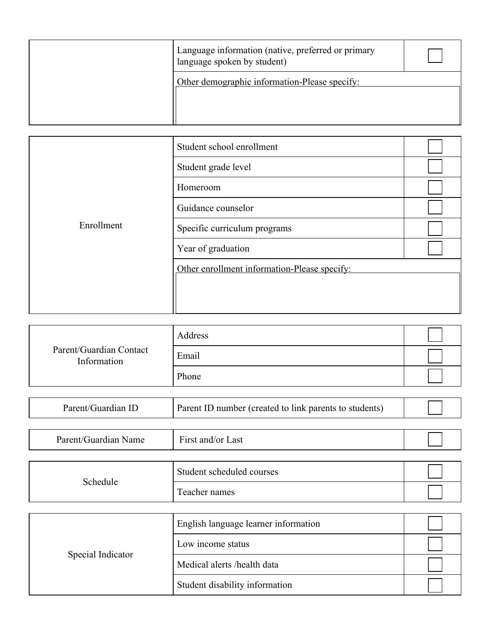| Language information (native, preferred or primary<br>language spoken by student) |  |
|-----------------------------------------------------------------------------------|--|
| Other demographic information-Please specify:                                     |  |

|            | Student school enrollment                    |  |
|------------|----------------------------------------------|--|
|            | Student grade level                          |  |
|            | Homeroom                                     |  |
|            | Guidance counselor                           |  |
| Enrollment | Specific curriculum programs                 |  |
|            | Year of graduation                           |  |
|            | Other enrollment information-Please specify: |  |
|            |                                              |  |
|            |                                              |  |

|                                        | Address |  |
|----------------------------------------|---------|--|
| Parent/Guardian Contact<br>Information | Email   |  |
|                                        | Phone   |  |

| Parent/Guardian ID | Parent ID number (created to link parents to students) |  |
|--------------------|--------------------------------------------------------|--|
|                    |                                                        |  |

| -<br>Parent<br>. ruardıan<br>Name | $\overline{\phantom{a}}$<br>∟ast<br>$1.1.0001 +$<br>$\alpha r$<br>$\sim$ 12 $\sim$<br>anu/<br>11 S L |  |
|-----------------------------------|------------------------------------------------------------------------------------------------------|--|
|                                   |                                                                                                      |  |

| Schedule | Student scheduled courses |  |
|----------|---------------------------|--|
|          | Teacher names             |  |

| Special Indicator | English language learner information |  |
|-------------------|--------------------------------------|--|
|                   | Low income status                    |  |
|                   | Medical alerts/health data           |  |
|                   | Student disability information       |  |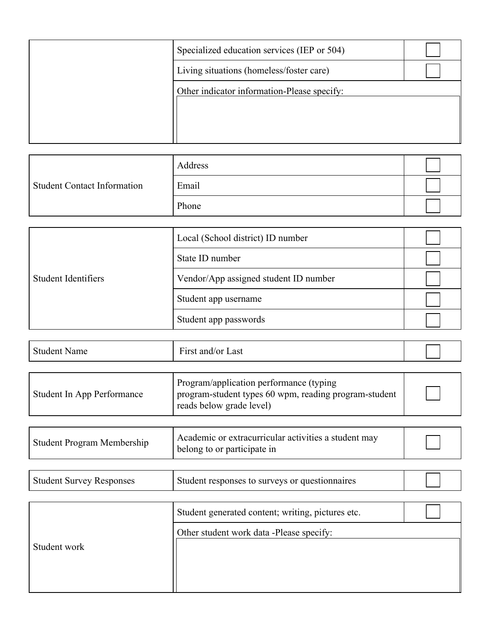| Specialized education services (IEP or 504) |  |
|---------------------------------------------|--|
| Living situations (homeless/foster care)    |  |
| Other indicator information-Please specify: |  |
|                                             |  |
|                                             |  |
|                                             |  |

| <b>Student Contact Information</b> | Address |  |
|------------------------------------|---------|--|
|                                    | Email   |  |
|                                    | Phone   |  |

| Student Identifiers | Local (School district) ID number     |  |
|---------------------|---------------------------------------|--|
|                     | State ID number                       |  |
|                     | Vendor/App assigned student ID number |  |
|                     | Student app username                  |  |
|                     | Student app passwords                 |  |

| <b>Student Name</b>               | First and/or Last                                                                                                             |  |  |
|-----------------------------------|-------------------------------------------------------------------------------------------------------------------------------|--|--|
|                                   |                                                                                                                               |  |  |
| Student In App Performance        | Program/application performance (typing)<br>program-student types 60 wpm, reading program-student<br>reads below grade level) |  |  |
|                                   |                                                                                                                               |  |  |
| <b>Student Program Membership</b> | Academic or extracurricular activities a student may<br>belong to or participate in                                           |  |  |

| <b>Student Survey Responses</b> | Student responses to surveys or questionnaires |  |  |
|---------------------------------|------------------------------------------------|--|--|
|---------------------------------|------------------------------------------------|--|--|

| Student work | Student generated content; writing, pictures etc. |  |
|--------------|---------------------------------------------------|--|
|              | Other student work data -Please specify:          |  |
|              |                                                   |  |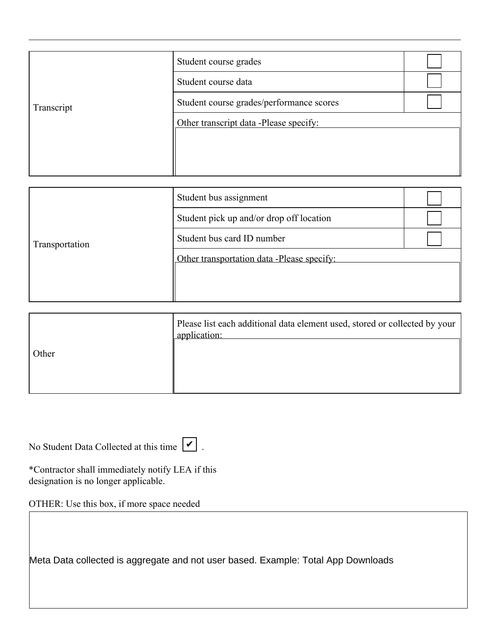| Transcript | Student course grades                    |  |  |
|------------|------------------------------------------|--|--|
|            | Student course data                      |  |  |
|            | Student course grades/performance scores |  |  |
|            | Other transcript data -Please specify:   |  |  |
|            |                                          |  |  |
|            |                                          |  |  |

| Transportation | Student bus assignment                     |  |  |
|----------------|--------------------------------------------|--|--|
|                | Student pick up and/or drop off location   |  |  |
|                | Student bus card ID number                 |  |  |
|                | Other transportation data -Please specify: |  |  |
|                |                                            |  |  |
|                |                                            |  |  |

|       | Please list each additional data element used, stored or collected by your<br>application: |
|-------|--------------------------------------------------------------------------------------------|
| Other |                                                                                            |
|       |                                                                                            |

| No Student Data Collected at this time $\boxed{\bigtriangledown}$ . |  |  |
|---------------------------------------------------------------------|--|--|
|---------------------------------------------------------------------|--|--|

\*Contractor shall immediately notify LEA if this designation is no longer applicable.

OTHER: Use this box, if more space needed

Meta Data collected is aggregate and not user based. Example: Total App Downloads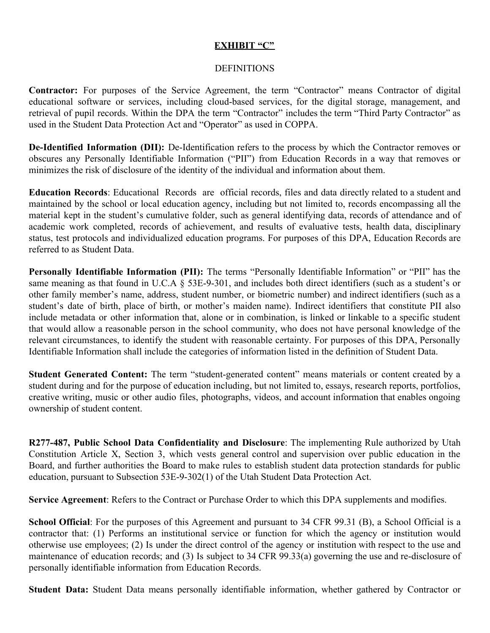#### **EXHIBIT "C"**

### DEFINITIONS

**Contractor:** For purposes of the Service Agreement, the term "Contractor" means Contractor of digital educational software or services, including cloud-based services, for the digital storage, management, and retrieval of pupil records. Within the DPA the term "Contractor" includes the term "Third Party Contractor" as used in the Student Data Protection Act and "Operator" as used in COPPA.

**De-Identified Information (DII):** De-Identification refers to the process by which the Contractor removes or obscures any Personally Identifiable Information ("PII") from Education Records in a way that removes or minimizes the risk of disclosure of the identity of the individual and information about them.

**Education Records**: Educational Records are official records, files and data directly related to a student and maintained by the school or local education agency, including but not limited to, records encompassing all the material kept in the student's cumulative folder, such as general identifying data, records of attendance and of academic work completed, records of achievement, and results of evaluative tests, health data, disciplinary status, test protocols and individualized education programs. For purposes of this DPA, Education Records are referred to as Student Data.

**Personally Identifiable Information (PII):** The terms "Personally Identifiable Information" or "PII" has the same meaning as that found in U.C.A § 53E-9-301, and includes both direct identifiers (such as a student's or other family member's name, address, student number, or biometric number) and indirect identifiers (such as a student's date of birth, place of birth, or mother's maiden name). Indirect identifiers that constitute PII also include metadata or other information that, alone or in combination, is linked or linkable to a specific student that would allow a reasonable person in the school community, who does not have personal knowledge of the relevant circumstances, to identify the student with reasonable certainty. For purposes of this DPA, Personally Identifiable Information shall include the categories of information listed in the definition of Student Data.

**Student Generated Content:** The term "student-generated content" means materials or content created by a student during and for the purpose of education including, but not limited to, essays, research reports, portfolios, creative writing, music or other audio files, photographs, videos, and account information that enables ongoing ownership of student content.

**R277-487, Public School Data Confidentiality and Disclosure**: The implementing Rule authorized by Utah Constitution Article X, Section 3, which vests general control and supervision over public education in the Board, and further authorities the Board to make rules to establish student data protection standards for public education, pursuant to Subsection 53E-9-302(1) of the Utah Student Data Protection Act.

**Service Agreement**: Refers to the Contract or Purchase Order to which this DPA supplements and modifies.

**School Official**: For the purposes of this Agreement and pursuant to 34 CFR 99.31 (B), a School Official is a contractor that: (1) Performs an institutional service or function for which the agency or institution would otherwise use employees; (2) Is under the direct control of the agency or institution with respect to the use and maintenance of education records; and (3) Is subject to 34 CFR 99.33(a) governing the use and re-disclosure of personally identifiable information from Education Records.

**Student Data:** Student Data means personally identifiable information, whether gathered by Contractor or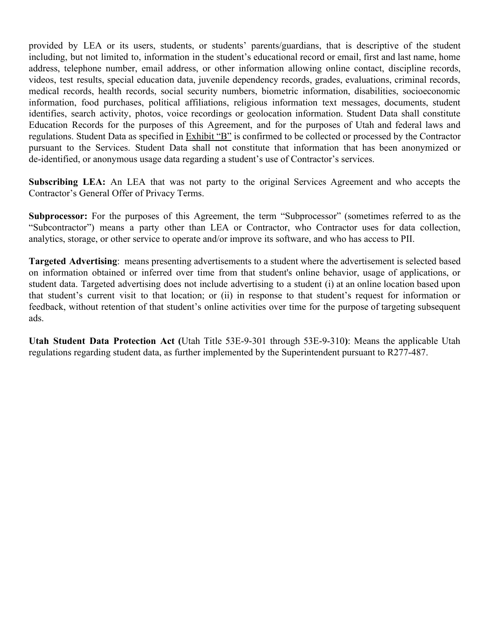provided by LEA or its users, students, or students' parents/guardians, that is descriptive of the student including, but not limited to, information in the student's educational record or email, first and last name, home address, telephone number, email address, or other information allowing online contact, discipline records, videos, test results, special education data, juvenile dependency records, grades, evaluations, criminal records, medical records, health records, social security numbers, biometric information, disabilities, socioeconomic information, food purchases, political affiliations, religious information text messages, documents, student identifies, search activity, photos, voice recordings or geolocation information. Student Data shall constitute Education Records for the purposes of this Agreement, and for the purposes of Utah and federal laws and regulations. Student Data as specified in Exhibit "B" is confirmed to be collected or processed by the Contractor pursuant to the Services. Student Data shall not constitute that information that has been anonymized or de-identified, or anonymous usage data regarding a student's use of Contractor's services.

**Subscribing LEA:** An LEA that was not party to the original Services Agreement and who accepts the Contractor's General Offer of Privacy Terms.

**Subprocessor:** For the purposes of this Agreement, the term "Subprocessor" (sometimes referred to as the "Subcontractor") means a party other than LEA or Contractor, who Contractor uses for data collection, analytics, storage, or other service to operate and/or improve its software, and who has access to PII.

**Targeted Advertising**: means presenting advertisements to a student where the advertisement is selected based on information obtained or inferred over time from that student's online behavior, usage of applications, or student data. Targeted advertising does not include advertising to a student (i) at an online location based upon that student's current visit to that location; or (ii) in response to that student's request for information or feedback, without retention of that student's online activities over time for the purpose of targeting subsequent ads.

**Utah Student Data Protection Act (**Utah Title 53E-9-301 through 53E-9-310**)**: Means the applicable Utah regulations regarding student data, as further implemented by the Superintendent pursuant to R277-487.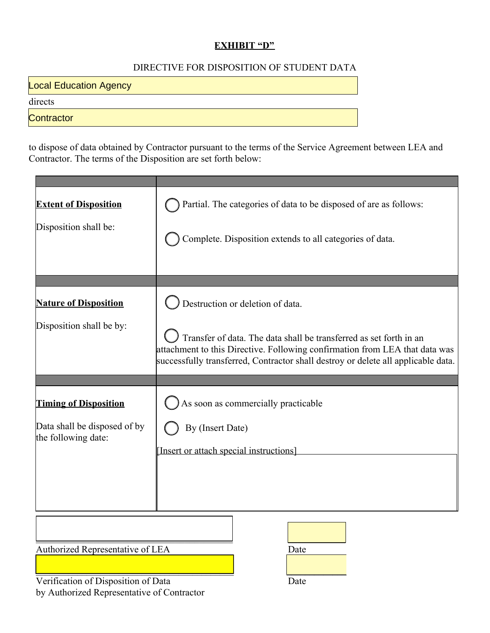## **EXHIBIT "D"**

## DIRECTIVE FOR DISPOSITION OF STUDENT DATA

**Local Education Agency** 

directs

**Contractor** 

to dispose of data obtained by Contractor pursuant to the terms of the Service Agreement between LEA and Contractor. The terms of the Disposition are set forth below:

| <b>Extent of Disposition</b>                        | Partial. The categories of data to be disposed of are as follows:                                                                                                                                                                      |  |
|-----------------------------------------------------|----------------------------------------------------------------------------------------------------------------------------------------------------------------------------------------------------------------------------------------|--|
| Disposition shall be:                               | Complete. Disposition extends to all categories of data.                                                                                                                                                                               |  |
|                                                     |                                                                                                                                                                                                                                        |  |
| <b>Nature of Disposition</b>                        | Destruction or deletion of data.                                                                                                                                                                                                       |  |
| Disposition shall be by:                            | Transfer of data. The data shall be transferred as set forth in an<br>attachment to this Directive. Following confirmation from LEA that data was<br>successfully transferred, Contractor shall destroy or delete all applicable data. |  |
|                                                     |                                                                                                                                                                                                                                        |  |
| <b>Timing of Disposition</b>                        | As soon as commercially practicable                                                                                                                                                                                                    |  |
| Data shall be disposed of by<br>the following date: | By (Insert Date)                                                                                                                                                                                                                       |  |
|                                                     | [Insert or attach special instructions]                                                                                                                                                                                                |  |
|                                                     |                                                                                                                                                                                                                                        |  |
|                                                     |                                                                                                                                                                                                                                        |  |
| Authorized Representative of LEA                    | Date                                                                                                                                                                                                                                   |  |

Verification of Disposition of Data Date by Authorized Representative of Contractor

 $\mathcal{L}_\text{max}$  and  $\mathcal{L}_\text{max}$  and  $\mathcal{L}_\text{max}$  and  $\mathcal{L}_\text{max}$  and  $\mathcal{L}_\text{max}$